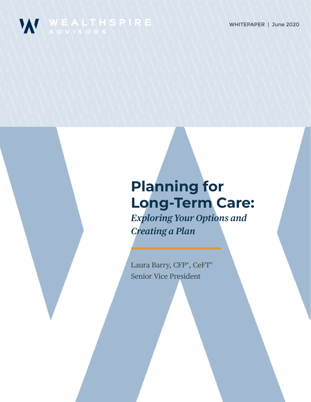

# **Planning for Long-Term Care:** *Exploring Your Options and Creating a Plan*

Laura Barry, CFP®, CeFT® Senior Vice President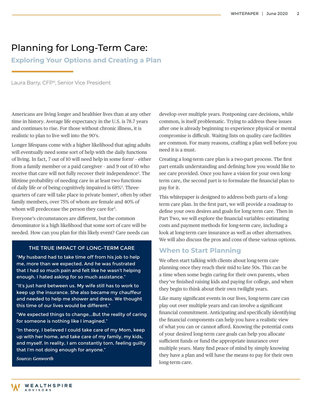## Planning for Long-Term Care:

**Exploring Your Options and Creating a Plan**

Laura Barry, CFP®, Senior Vice President

Americans are living longer and healthier lives than at any other time in history. Average life expectancy in the U.S. is 78.7 years and continues to rise. For those without chronic illness, it is realistic to plan to live well into the 90's.

Longer lifespans come with a higher likelihood that aging adults will eventually need some sort of help with the daily functions of living. In fact,  $7$  out of [1](https://ltcconsumer.com/ltc-facts/statistics/)0 will need help in some form $<sup>1</sup>$  - either</sup> from a family member or a paid caregiver – and 9 out of 10 who receive that care will not fully recover their independence<sup>2</sup>. The lifetime probability of needing care in at least two functions of daily life or of being cognitively impaired is 68%[3](https://www.usatoday.com/story/news/nation/2014/07/15/aging-survey-research/11921043/) . Three-quarters of care will take place in private homes<sup>[4](http://www.jchs.harvard.edu/sites/default/files/jchs-housing_americas_older_adults_2014_1.pdf)</sup>, often by other family members, over 75% of whom are female and 40% of whom will predecease the person they care for<sup>5</sup>.

Everyone's circumstances are different, but the common denominator is a high likelihood that some sort of care will be needed. How can you plan for this likely event? Care needs can

#### THE TRUE IMPACT OF LONG-TERM CARE

"My husband had to take time off from his job to help me, more than we expected. And he was frustrated that I had so much pain and felt like he wasn't helping enough. I hated asking for so much assistance."

"It's just hard between us. My wife still has to work to keep up the insurance. She also became my chauffeur and needed to help me shower and dress. We thought this time of our lives would be different."

"We expected things to change...But the reality of caring for someone is nothing like I imagined."

"In theory, I believed I could take care of my Mom, keep up with her home, and take care of my family, my kids, and myself. In reality, I am constantly torn, feeling guilty that I'm not doing enough for anyone."

*Source: Genworth*

develop over multiple years. Postponing care decisions, while common, is itself problematic. Trying to address these issues after one is already beginning to experience physical or mental compromise is difficult. Waiting lists on quality care facilities are common. For many reasons, crafting a plan well before you need it is a must.

Creating a long-term care plan is a two-part process. The first part entails understanding and defining how you would like to see care provided. Once you have a vision for your own longterm care, the second part is to formulate the financial plan to pay for it.

This whitepaper is designed to address both parts of a longterm care plan. In the first part, we will provide a roadmap to define your own desires and goals for long term care. Then in Part Two, we will explore the financial variables: estimating costs and payment methods for long-term care, including a look at long-term care insurance as well as other alternatives. We will also discuss the pros and cons of these various options.

#### **When to Start Planning**

We often start talking with clients about long-term care planning once they reach their mid to late 50s. This can be a time when some begin caring for their own parents, when they've finished raising kids and paying for college, and when they begin to think about their own twilight years.

Like many significant events in our lives, long-term care can play out over multiple years and can involve a significant financial commitment. Anticipating and specifically identifying the financial components can help you have a realistic view of what you can or cannot afford. Knowing the potential costs of your desired long-term care goals can help you allocate sufficient funds or fund the appropriate insurance over multiple years. Many find peace of mind by simply knowing they have a plan and will have the means to pay for their own long-term care.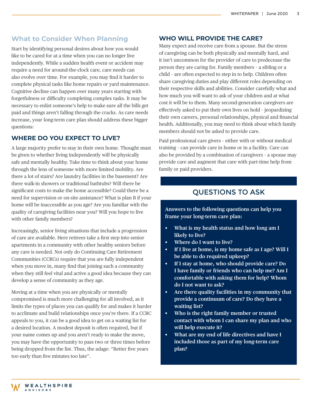#### **What to Consider When Planning**

Start by identifying personal desires about how you would like to be cared for at a time when you can no longer live independently. While a sudden health event or accident may require a need for around-the-clock care, care needs can also evolve over time. For example, you may find it harder to complete physical tasks like home repairs or yard maintenance. Cognitive decline can happen over many years starting with forgetfulness or difficulty completing complex tasks. It may be necessary to enlist someone's help to make sure all the bills get paid and things aren't falling through the cracks. As care needs increase, your long-term care plan should address these bigger questions:

#### **WHERE DO YOU EXPECT TO LIVE?**

A large majority prefer to stay in their own home. Thought must be given to whether living independently will be physically safe and mentally healthy. Take time to think about your home through the lens of someone with more limited mobility. Are there a lot of stairs? Are laundry facilities in the basement? Are there walk-in showers or traditional bathtubs? Will there be significant costs to make the home accessible? Could there be a need for supervision or on-site assistance? What is plan B if your home will be inaccessible as you age? Are you familiar with the quality of caregiving facilities near you? Will you hope to live with other family members?

Increasingly, senior living situations that include a progression of care are available. Here retirees take a first step into senior apartments in a community with other healthy seniors before any care is needed. Not only do Continuing Care Retirement Communities (CCRCs) require that you are fully independent when you move in, many find that joining such a community when they still feel vital and active a good idea because they can develop a sense of community as they age.

Moving at a time when you are physically or mentally compromised is much more challenging for all involved, as it limits the types of places you can qualify for and makes it harder to acclimate and build relationships once you're there. If a CCRC appeals to you, it can be a good idea to get on a waiting list for a desired location. A modest deposit is often required, but if your name comes up and you aren't ready to make the move, you may have the opportunity to pass two or three times before being dropped from the list. Thus, the adage: "Better five years too early than five minutes too late".

#### **WHO WILL PROVIDE THE CARE?**

Many expect and receive care from a spouse. But the stress of caregiving can be both physically and mentally hard, and it isn't uncommon for the provider of care to predecease the person they are caring for. Family members – a sibling or a child – are often expected to step in to help. Children often share caregiving duties and play different roles depending on their respective skills and abilities. Consider carefully what and how much you will want to ask of your children and at what cost it will be to them. Many second-generation caregivers are effectively asked to put their own lives on hold – jeopardizing their own careers, personal relationships, physical and financial health. Additionally, you may need to think about which family members should not be asked to provide care.

Paid professional care givers – either with or without medical training – can provide care in home or in a facility. Care can also be provided by a combination of caregivers – a spouse may provide care and augment that care with part-time help from family or paid providers.

### QUESTIONS TO ASK

**Answers to the following questions can help you frame your long-term care plan:**

- **• What is my health status and how long am I likely to live?**
- **• Where do I want to live?**
- **• If I live at home, is my home safe as I age? Will I be able to do required upkeep?**
- **• If I stay at home, who should provide care? Do I have family or friends who can help me? Am I comfortable with asking them for help? Whom do I not want to ask?**
- **• Are there quality facilities in my community that provide a continuum of care? Do they have a waiting list?**
- **• Who is the right family member or trusted contact with whom I can share my plan and who will help execute it?**
- **• What are my end of life directives and have I included those as part of my long-term care plan?**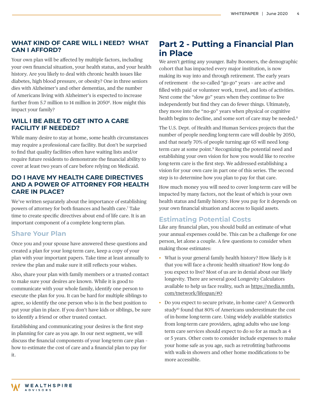#### **WHAT KIND OF CARE WILL I NEED? WHAT CAN I AFFORD?**

Your own plan will be affected by multiple factors, including your own financial situation, your health status, and your health history. Are you likely to deal with chronic health issues like diabetes, high blood pressure, or obesity? One in three seniors dies with Alzheimer's and other dementias, and the number of Americans living with Alzheimer's is expected to increase further from 5.7 million to 14 million in 2050<sup>6</sup>. How might this impact your family?

#### **WILL I BE ABLE TO GET INTO A CARE FACILITY IF NEEDED?**

While many desire to stay at home, some health circumstances may require a professional care facility. But don't be surprised to find that quality facilities often have waiting lists and/or require future residents to demonstrate the financial ability to cover at least two years of care before relying on Medicaid.

#### **DO I HAVE MY HEALTH CARE DIRECTIVES AND A POWER OF ATTORNEY FOR HEALTH CARE IN PLACE?**

We've written separately about the importance of establishing powers of attorney for both finances and health care.7 Take time to create specific directives about end of life care. It is an important component of a complete long-term plan.

#### **Share Your Plan**

Once you and your spouse have answered these questions and created a plan for your long-term care, keep a copy of your plan with your important papers. Take time at least annually to review the plan and make sure it still reflects your wishes.

Also, share your plan with family members or a trusted contact to make sure your desires are known. While it is good to communicate with your whole family, identify one person to execute the plan for you. It can be hard for multiple siblings to agree, so identify the one person who is in the best position to put your plan in place. If you don't have kids or siblings, be sure to identify a friend or other trusted contact.

Establishing and communicating your desires is the first step in planning for care as you age. In our next segment, we will discuss the financial components of your long-term care plan – how to estimate the cost of care and a financial plan to pay for it.

### **Part 2 - Putting a Financial Plan in Place**

We aren't getting any younger. Baby Boomers, the demographic cohort that has impacted every major institution, is now making its way into and through retirement. The early years of retirement – the so-called "go-go" years – are active and filled with paid or volunteer work, travel, and lots of activities. Next come the "slow go" years when they continue to live independently but find they can do fewer things. Ultimately, they move into the "no-go" years when physical or cognitive health begins to decline, and some sort of care may be needed.<sup>8</sup>

The U.S. Dept. of Health and Human Services projects that the number of people needing long-term care will double by 2050, and that nearly 70% of people turning age 65 will need longterm care at some point.<sup>9</sup> Recognizing the potential need and establishing your own vision for how you would like to receive long-term care is the first step. We addressed establishing a vision for your own care in part one of this series. The second step is to determine how you plan to pay for that care.

How much money you will need to cover long-term care will be impacted by many factors, not the least of which is your own health status and family history. How you pay for it depends on your own financial situation and access to liquid assets.

#### **Estimating Potential Costs**

Like any financial plan, you should build an estimate of what your annual expenses could be. This can be a challenge for one person, let alone a couple. A few questions to consider when making those estimates:

- What is your general family health history? How likely is it that you will face a chronic health situation? How long do you expect to live? Most of us are in denial about our likely longevity. There are several good Longevity Calculators available to help us face reality, such as https://media.nmfn. com/tnetwork/lifespan/#0
- Do you expect to secure private, in-home care? A Genworth study<sup>10</sup> found that 80% of Americans underestimate the cost of in-home long-term care. Using widely available statistics from long-term care providers, aging adults who use longterm care services should expect to do so for as much as 4 or 5 years. Other costs to consider include expenses to make your home safe as you age, such as retrofitting bathrooms with walk-in showers and other home modifications to be more accessible.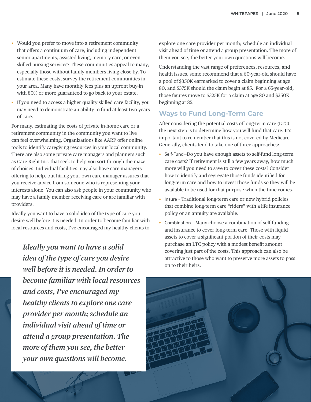- Would you prefer to move into a retirement community that offers a continuum of care, including independent senior apartments, assisted living, memory care, or even skilled nursing services? These communities appeal to many, especially those without family members living close by. To estimate these costs, survey the retirement communities in your area. Many have monthly fees plus an upfront buy-in with 80% or more guaranteed to go back to your estate.
- If you need to access a higher quality skilled care facility, you may need to demonstrate an ability to fund at least two years of care.

For many, estimating the costs of private in-home care or a retirement community in the community you want to live can feel overwhelming. Organizations like AARP offer online tools to identify caregiving resources in your local community. There are also some private care managers and planners such as Care Right Inc. that seek to help you sort through the maze of choices. Individual facilities may also have care managers offering to help, but hiring your own care manager assures that you receive advice from someone who is representing your interests alone. You can also ask people in your community who may have a family member receiving care or are familiar with providers.

Ideally you want to have a solid idea of the type of care you desire well before it is needed. In order to become familiar with local resources and costs, I've encouraged my healthy clients to

*Ideally you want to have a solid idea of the type of care you desire well before it is needed. In order to become familiar with local resources and costs, I've encouraged my healthy clients to explore one care provider per month; schedule an individual visit ahead of time or attend a group presentation. The more of them you see, the better your own questions will become.* 

explore one care provider per month; schedule an individual visit ahead of time or attend a group presentation. The more of them you see, the better your own questions will become.

Understanding the vast range of preferences, resources, and health issues, some recommend that a 60-year-old should have a pool of \$350K earmarked to cover a claim beginning at age 80, and \$375K should the claim begin at 85. For a 65-year-old, those figures move to \$325K for a claim at age 80 and \$350K beginning at 85.

#### **Ways to Fund Long-Term Care**

After considering the potential costs of long-term care (LTC), the next step is to determine how you will fund that care. It's important to remember that this is not covered by Medicare. Generally, clients tend to take one of three approaches:

- Self-Fund—Do you have enough assets to self-fund long-term care costs? If retirement is still a few years away, how much more will you need to save to cover these costs? Consider how to identify and segregate those funds identified for long-term care and how to invest those funds so they will be available to be used for that purpose when the time comes.
- Insure Traditional long-term care or new hybrid policies that combine long-term care "riders" with a life insurance policy or an annuity are available.
- Combination Many choose a combination of self-funding and insurance to cover long-term care. Those with liquid assets to cover a significant portion of their costs may purchase an LTC policy with a modest benefit amount covering just part of the costs. This approach can also be attractive to those who want to preserve more assets to pass on to their heirs.

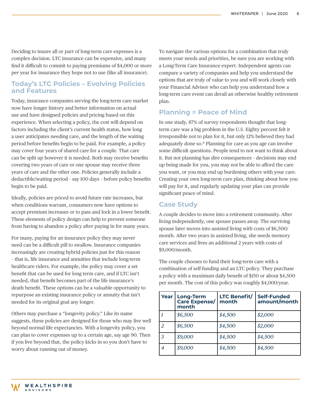Deciding to insure all or part of long-term care expenses is a complex decision. LTC insurance can be expensive, and many find it difficult to commit to paying premiums of \$4,000 or more per year for insurance they hope not to use (like all insurance).

#### **Today's LTC Policies – Evolving Policies and Features**

Today, insurance companies serving the long-term care market now have longer history and better information on actual use and have designed policies and pricing based on this experience. When selecting a policy, the cost will depend on factors including the client's current health status, how long a user anticipates needing care, and the length of the waiting period before benefits begin to be paid. For example, a policy may cover four years of shared care for a couple. That care can be split up however it is needed. Both may receive benefits covering two years of care or one spouse may receive three years of care and the other one. Policies generally include a deductible/waiting period – say 100 days – before policy benefits begin to be paid.

Ideally, policies are priced to avoid future rate increases, but when conditions warrant, consumers now have options to accept premium increases or to pass and lock in a lower benefit. These elements of policy design can help to prevent someone from having to abandon a policy after paying in for many years.

For many, paying for an insurance policy they may never need can be a difficult pill to swallow. Insurance companies increasingly are creating hybrid policies just for this reason – that is, life insurance and annuities that include long-term healthcare riders. For example, the policy may cover a set benefit that can be used for long term care, and if LTC isn't needed, that benefit becomes part of the life insurance's death benefit. These options can be a valuable opportunity to repurpose an existing insurance policy or annuity that isn't needed for its original goal any longer.

Others may purchase a "longevity policy." Like its name suggests, these policies are designed for those who may live well beyond normal life expectancies. With a longevity policy, you can plan to cover expenses up to a certain age, say age 90. Then if you live beyond that, the policy kicks in so you don't have to worry about running out of money.

To navigate the various options for a combination that truly meets your needs and priorities, be sure you are working with a Long-Term Care Insurance expert. Independent agents can compare a variety of companies and help you understand the options that are truly of value to you and will work closely with your Financial Advisor who can help you understand how a long-term care event can derail an otherwise healthy retirement plan.

#### **Planning = Peace of Mind**

In one study, 87% of survey respondents thought that longterm care was a big problem in the U.S. Eighty percent felt it irresponsible not to plan for it, but only 12% believed they had adequately done so.<sup>11</sup> Planning for care as you age can involve some difficult questions. People tend to not want to think about it. But not planning has dire consequences – decisions may end up being made for you, you may not be able to afford the care you want, or you may end up burdening others with your care. Creating your own long-term care plan, thinking about how you will pay for it, and regularly updating your plan can provide significant peace of mind.

#### **Case Study**

A couple decides to move into a retirement community. After living independently, one spouse passes away. The surviving spouse later moves into assisted living with costs of \$6,500/ month. After two years in assisted living, she needs memory care services and lives an additional 2 years with costs of \$9,000/month.

The couple chooses to fund their long-term care with a combination of self-funding and an LTC policy. They purchase a policy with a maximum daily benefit of \$150 or about \$4,500 per month. The cost of this policy was roughly \$4,000/year.

| Year | <b>Long-Term</b><br>Care Expense/<br>month | <b>LTC Benefit/</b><br>month | Self-Funded<br>amount/month |
|------|--------------------------------------------|------------------------------|-----------------------------|
|      | \$6,500                                    | \$4,500                      | \$2,000                     |
|      | \$6,500                                    | \$4,500                      | \$2,000                     |
| 3    | \$9,000                                    | \$4,500                      | \$4,500                     |
| 4    | \$9,000                                    | \$4,500                      | \$4,500                     |

**WEALTHSPIRE ADVISORS**